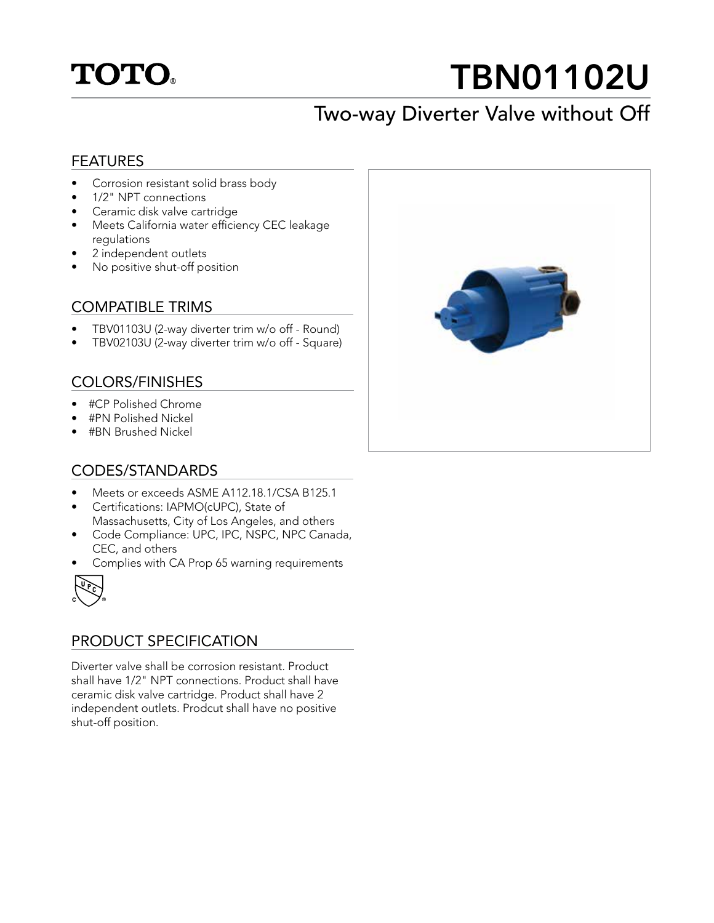## **TOTO.**

# TBN01102U

## Two-way Diverter Valve without Off

#### FEATURES

- Corrosion resistant solid brass body
- 1/2" NPT connections
- Ceramic disk valve cartridge
- Meets California water efficiency CEC leakage regulations
- 2 independent outlets
- No positive shut-off position

#### COMPATIBLE TRIMS

- TBV01103U (2-way diverter trim w/o off Round)
- TBV02103U (2-way diverter trim w/o off Square)

#### COLORS/FINISHES

- #CP Polished Chrome
- #PN Polished Nickel
- #BN Brushed Nickel

#### CODES/STANDARDS

- Meets or exceeds ASME A112.18.1/CSA B125.1
- Certifications: IAPMO(cUPC), State of Massachusetts, City of Los Angeles, and others
- Code Compliance: UPC, IPC, NSPC, NPC Canada, CEC, and others
- Complies with CA Prop 65 warning requirements



#### PRODUCT SPECIFICATION

Diverter valve shall be corrosion resistant. Product shall have 1/2" NPT connections. Product shall have ceramic disk valve cartridge. Product shall have 2 independent outlets. Prodcut shall have no positive shut-off position.